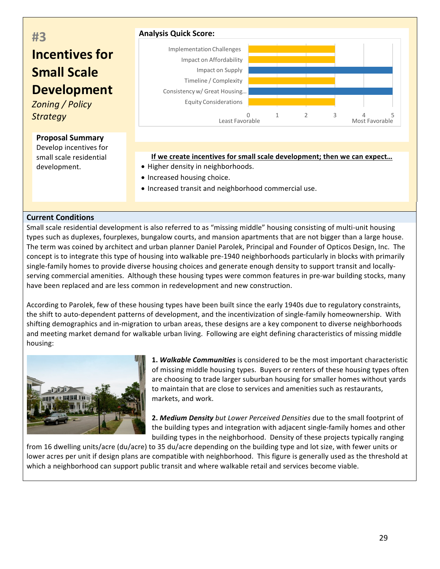# **#3 Incentives for Small Scale Development**

**Zoning** / Policy *Strategy* 

#### **Proposal Summary**

Develop incentives for small scale residential development.



## If we create incentives for small scale development; then we can expect...

- Higher density in neighborhoods.
- Increased housing choice.
- Increased transit and neighborhood commercial use.

## **Current Conditions**

Small scale residential development is also referred to as "missing middle" housing consisting of multi-unit housing types such as duplexes, fourplexes, bungalow courts, and mansion apartments that are not bigger than a large house. The term was coined by architect and urban planner Daniel Parolek, Principal and Founder of Opticos Design, Inc. The concept is to integrate this type of housing into walkable pre-1940 neighborhoods particularly in blocks with primarily single-family homes to provide diverse housing choices and generate enough density to support transit and locallyserving commercial amenities. Although these housing types were common features in pre-war building stocks, many have been replaced and are less common in redevelopment and new construction.

According to Parolek, few of these housing types have been built since the early 1940s due to regulatory constraints, the shift to auto-dependent patterns of development, and the incentivization of single-family homeownership. With shifting demographics and in-migration to urban areas, these designs are a key component to diverse neighborhoods and meeting market demand for walkable urban living. Following are eight defining characteristics of missing middle housing:



**1. Walkable Communities** is considered to be the most important characteristic of missing middle housing types. Buyers or renters of these housing types often are choosing to trade larger suburban housing for smaller homes without yards to maintain that are close to services and amenities such as restaurants, markets, and work.

**2. Medium Density** but Lower Perceived Densities due to the small footprint of the building types and integration with adjacent single-family homes and other building types in the neighborhood. Density of these projects typically ranging

from 16 dwelling units/acre (du/acre) to 35 du/acre depending on the building type and lot size, with fewer units or lower acres per unit if design plans are compatible with neighborhood. This figure is generally used as the threshold at which a neighborhood can support public transit and where walkable retail and services become viable.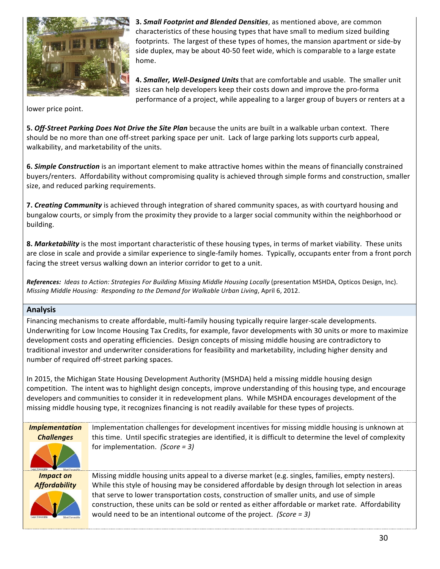

**3. Small Footprint and Blended Densities**, as mentioned above, are common characteristics of these housing types that have small to medium sized building footprints. The largest of these types of homes, the mansion apartment or side-by side duplex, may be about 40-50 feet wide, which is comparable to a large estate home.

4. *Smaller, Well-Designed Units* that are comfortable and usable. The smaller unit sizes can help developers keep their costs down and improve the pro-forma performance of a project, while appealing to a larger group of buyers or renters at a

lower price point.

**5. Off-Street Parking Does Not Drive the Site Plan** because the units are built in a walkable urban context. There should be no more than one off-street parking space per unit. Lack of large parking lots supports curb appeal, walkability, and marketability of the units.

**6. Simple Construction** is an important element to make attractive homes within the means of financially constrained buyers/renters. Affordability without compromising quality is achieved through simple forms and construction, smaller size, and reduced parking requirements.

**7. Creating Community** is achieved through integration of shared community spaces, as with courtyard housing and bungalow courts, or simply from the proximity they provide to a larger social community within the neighborhood or building.

8. Marketability is the most important characteristic of these housing types, in terms of market viability. These units are close in scale and provide a similar experience to single-family homes. Typically, occupants enter from a front porch facing the street versus walking down an interior corridor to get to a unit.

References: *Ideas to Action: Strategies For Building Missing Middle Housing Locally* (presentation MSHDA, Opticos Design, Inc). *Missing Middle Housing: Responding to the Demand for Walkable Urban Living, April 6, 2012.* 

#### **Analysis**

Financing mechanisms to create affordable, multi-family housing typically require larger-scale developments. Underwriting for Low Income Housing Tax Credits, for example, favor developments with 30 units or more to maximize development costs and operating efficiencies. Design concepts of missing middle housing are contradictory to traditional investor and underwriter considerations for feasibility and marketability, including higher density and number of required off-street parking spaces.

In 2015, the Michigan State Housing Development Authority (MSHDA) held a missing middle housing design competition. The intent was to highlight design concepts, improve understanding of this housing type, and encourage developers and communities to consider it in redevelopment plans. While MSHDA encourages development of the missing middle housing type, it recognizes financing is not readily available for these types of projects.

*Implementation Challenges*

Implementation challenges for development incentives for missing middle housing is unknown at this time. Until specific strategies are identified, it is difficult to determine the level of complexity for implementation. (Score = 3)

*Impact on Affordability*



Missing middle housing units appeal to a diverse market (e.g. singles, families, empty nesters). While this style of housing may be considered affordable by design through lot selection in areas that serve to lower transportation costs, construction of smaller units, and use of simple construction, these units can be sold or rented as either affordable or market rate. Affordability would need to be an intentional outcome of the project. *(Score = 3)*